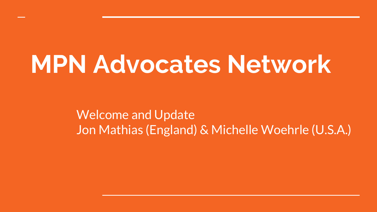## **MPN Advocates Network**

Welcome and Update Jon Mathias (England) & Michelle Woehrle (U.S.A.)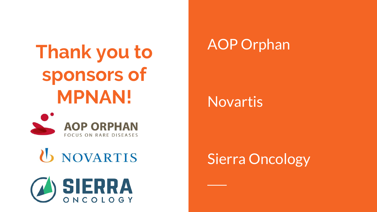## **Thank you to sponsors of MPNAN!**



### U NOVARTIS



#### AOP Orphan

#### Novartis

#### Sierra Oncology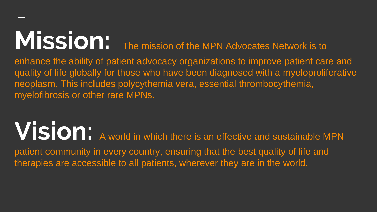# **MISSION:** The mission of the MPN Advocates Network is to

enhance the ability of patient advocacy organizations to improve patient care and quality of life globally for those who have been diagnosed with a myeloproliferative neoplasm. This includes polycythemia vera, essential thrombocythemia, myelofibrosis or other rare MPNs.

**Vision:** A world in which there is an effective and sustainable MPN patient community in every country, ensuring that the best quality of life and therapies are accessible to all patients, wherever they are in the world.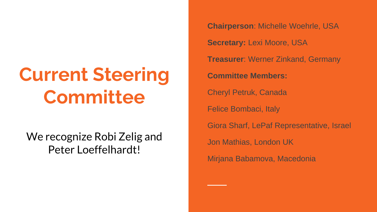## **Current Steering Committee**

We recognize Robi Zelig and Peter Loeffelhardt!

**Chairperson**: Michelle Woehrle, USA **Secretary:** Lexi Moore, USA **Treasurer**: Werner Zinkand, Germany **Committee Members:** Cheryl Petruk, Canada Felice Bombaci, Italy Giora Sharf, LePaf Representative, Israel Jon Mathias, London UK Mirjana Babamova, Macedonia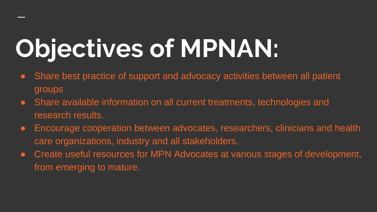# **Objectives of MPNAN:**

- Share best practice of support and advocacy activities between all patient groups
- Share available information on all current treatments, technologies and research results.
- Encourage cooperation between advocates, researchers, clinicians and health care organizations, industry and all stakeholders.
- Create useful resources for MPN Advocates at various stages of development, from emerging to mature.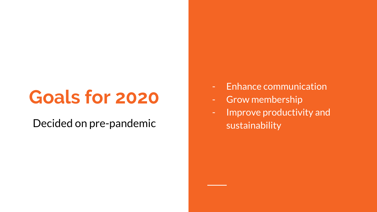### **Goals for 2020**

Decided on pre -pandemic

- Enhance communication
- Grow membership
- Improve productivity and sustainability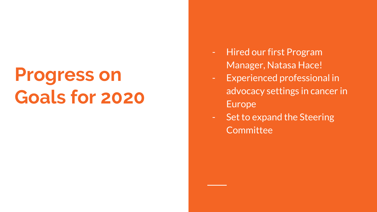### **Progress on Goals for 2020**

- Hired our first Program Manager, Natasa Hace!
- Experienced professional in advocacy settings in cancer in Europe
- Set to expand the Steering **Committee**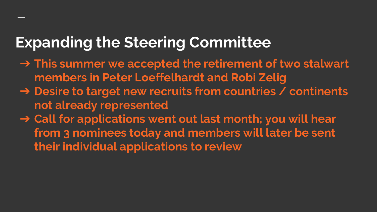#### **Expanding the Steering Committee**

- ➔ **This summer we accepted the retirement of two stalwart members in Peter Loeffelhardt and Robi Zelig**
- ➔ **Desire to target new recruits from countries / continents not already represented**
- ➔ **Call for applications went out last month; you will hear from 3 nominees today and members will later be sent their individual applications to review**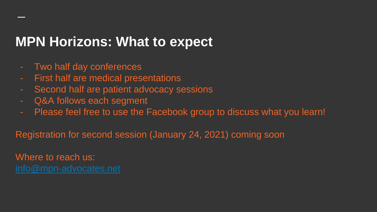#### **MPN Horizons: What to expect**

- Two half day conferences
- First half are medical presentations
- Second half are patient advocacy sessions
- Q&A follows each segment
- Please feel free to use the Facebook group to discuss what you learn!

Registration for second session (January 24, 2021) coming soon

Where to reach us: [info@mpn-advocates.net](mailto:info@mpn-advocates.net)